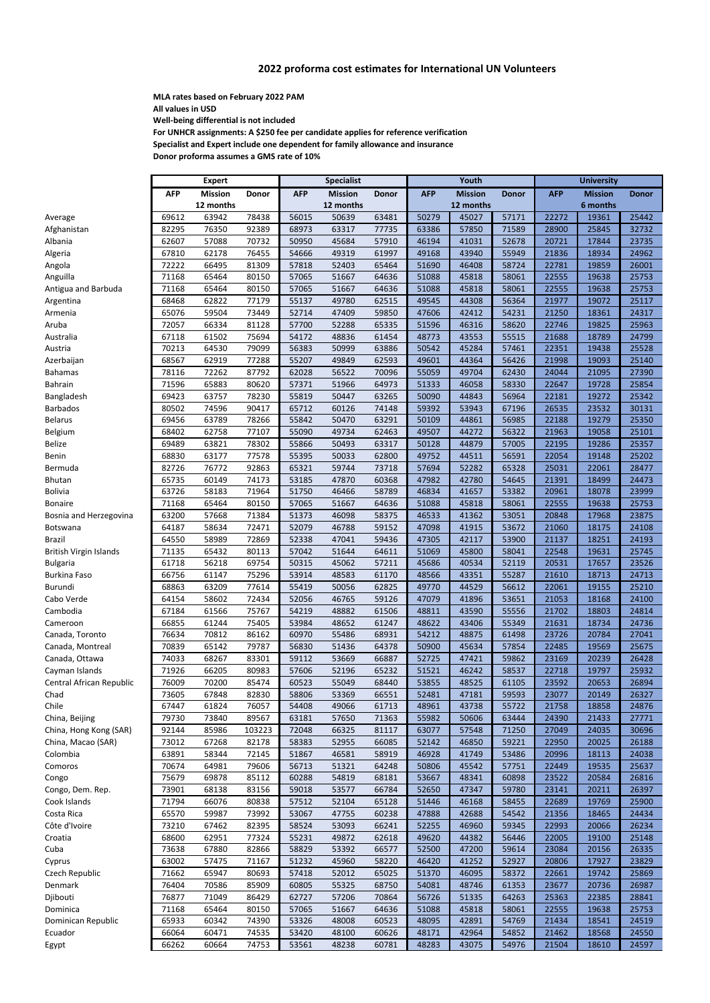**MLA rates based on February 2022 PAM All values in USD**

**Well‐being differential is not included**

**For UNHCR assignments: A \$250 fee per candidate applies for reference verification Specialist and Expert include one dependent for family allowance and insurance Donor proforma assumes a GMS rate of 10%**

|                               |            | <b>Expert</b>  |              |            | <b>Specialist</b> |              |            | Youth          |              |            | <b>University</b> |              |  |
|-------------------------------|------------|----------------|--------------|------------|-------------------|--------------|------------|----------------|--------------|------------|-------------------|--------------|--|
|                               | <b>AFP</b> | <b>Mission</b> | <b>Donor</b> | <b>AFP</b> | <b>Mission</b>    | <b>Donor</b> | <b>AFP</b> | <b>Mission</b> | <b>Donor</b> | <b>AFP</b> | <b>Mission</b>    | <b>Donor</b> |  |
|                               |            | 12 months      |              |            | 12 months         |              |            | 12 months      |              |            | 6 months          |              |  |
| Average                       | 69612      | 63942          | 78438        | 56015      | 50639             | 63481        | 50279      | 45027          | 57171        | 22272      | 19361             | 25442        |  |
| Afghanistan                   | 82295      | 76350          | 92389        | 68973      | 63317             | 77735        | 63386      | 57850          | 71589        | 28900      | 25845             | 32732        |  |
| Albania                       | 62607      | 57088          | 70732        | 50950      | 45684             | 57910        | 46194      | 41031          | 52678        | 20721      | 17844             | 23735        |  |
| Algeria                       | 67810      | 62178          | 76455        | 54666      | 49319             | 61997        | 49168      | 43940          | 55949        | 21836      | 18934             | 24962        |  |
| Angola                        | 72222      | 66495          | 81309        | 57818      | 52403             | 65464        | 51690      | 46408          | 58724        | 22781      | 19859             | 26001        |  |
| Anguilla                      | 71168      | 65464          | 80150        | 57065      | 51667             | 64636        | 51088      | 45818          | 58061        | 22555      | 19638             | 25753        |  |
| Antigua and Barbuda           | 71168      | 65464          | 80150        | 57065      | 51667             | 64636        | 51088      | 45818          | 58061        | 22555      | 19638             | 25753        |  |
| Argentina                     | 68468      | 62822          | 77179        | 55137      | 49780             | 62515        | 49545      | 44308          | 56364        | 21977      | 19072             | 25117        |  |
| Armenia                       | 65076      | 59504          | 73449        | 52714      | 47409             | 59850        | 47606      | 42412          | 54231        | 21250      | 18361             | 24317        |  |
| Aruba                         | 72057      | 66334          | 81128        | 57700      | 52288             | 65335        | 51596      | 46316          | 58620        | 22746      | 19825             | 25963        |  |
| Australia                     | 67118      | 61502          | 75694        | 54172      | 48836             | 61454        | 48773      | 43553          | 55515        | 21688      | 18789             | 24799        |  |
| Austria                       | 70213      | 64530          | 79099        | 56383      | 50999             | 63886        | 50542      | 45284          | 57461        | 22351      | 19438             | 25528        |  |
| Azerbaijan                    | 68567      | 62919          | 77288        | 55207      | 49849             | 62593        | 49601      | 44364          | 56426        | 21998      | 19093             | 25140        |  |
| Bahamas                       | 78116      | 72262          | 87792        | 62028      | 56522             | 70096        | 55059      | 49704          | 62430        | 24044      | 21095             | 27390        |  |
| <b>Bahrain</b>                | 71596      | 65883          | 80620        | 57371      | 51966             | 64973        | 51333      | 46058          | 58330        | 22647      | 19728             | 25854        |  |
| Bangladesh                    | 69423      | 63757          | 78230        | 55819      | 50447             | 63265        | 50090      | 44843          | 56964        | 22181      | 19272             | 25342        |  |
| Barbados                      | 80502      | 74596          | 90417        | 65712      | 60126             | 74148        | 59392      | 53943          | 67196        | 26535      | 23532             | 30131        |  |
| <b>Belarus</b>                | 69456      | 63789          | 78266        | 55842      | 50470             | 63291        | 50109      | 44861          | 56985        | 22188      | 19279             | 25350        |  |
| Belgium                       | 68402      | 62758          | 77107        | 55090      | 49734             | 62463        | 49507      | 44272          | 56322        | 21963      | 19058             | 25101        |  |
| Belize                        | 69489      | 63821          | 78302        | 55866      | 50493             | 63317        | 50128      | 44879          | 57005        | 22195      | 19286             | 25357        |  |
| Benin                         | 68830      | 63177          | 77578        | 55395      | 50033             | 62800        | 49752      | 44511          | 56591        | 22054      | 19148             | 25202        |  |
| Bermuda                       | 82726      | 76772          | 92863        | 65321      | 59744             | 73718        | 57694      | 52282          | 65328        | 25031      | 22061             | 28477        |  |
| Bhutan                        | 65735      | 60149          | 74173        | 53185      | 47870             | 60368        | 47982      | 42780          | 54645        | 21391      | 18499             | 24473        |  |
| Bolivia                       | 63726      | 58183          | 71964        | 51750      | 46466             | 58789        | 46834      | 41657          | 53382        | 20961      | 18078             | 23999        |  |
| <b>Bonaire</b>                | 71168      | 65464          | 80150        | 57065      | 51667             | 64636        | 51088      | 45818          | 58061        | 22555      | 19638             | 25753        |  |
| Bosnia and Herzegovina        | 63200      | 57668          | 71384        | 51373      | 46098             | 58375        | 46533      | 41362          | 53051        | 20848      | 17968             | 23875        |  |
| Botswana                      | 64187      | 58634          | 72471        | 52079      | 46788             | 59152        | 47098      | 41915          | 53672        | 21060      | 18175             | 24108        |  |
| <b>Brazil</b>                 | 64550      | 58989          | 72869        | 52338      | 47041             | 59436        | 47305      | 42117          | 53900        | 21137      | 18251             | 24193        |  |
| <b>British Virgin Islands</b> | 71135      | 65432          | 80113        | 57042      | 51644             | 64611        | 51069      | 45800          | 58041        | 22548      | 19631             | 25745        |  |
| <b>Bulgaria</b>               | 61718      | 56218          | 69754        | 50315      | 45062             | 57211        | 45686      | 40534          | 52119        | 20531      | 17657             | 23526        |  |
| Burkina Faso                  | 66756      | 61147          | 75296        | 53914      | 48583             | 61170        | 48566      | 43351          | 55287        | 21610      | 18713             | 24713        |  |
| Burundi                       | 68863      | 63209          | 77614        | 55419      | 50056             | 62825        | 49770      | 44529          | 56612        | 22061      | 19155             | 25210        |  |
| Cabo Verde                    | 64154      | 58602          | 72434        | 52056      | 46765             | 59126        | 47079      | 41896          | 53651        | 21053      | 18168             | 24100        |  |
| Cambodia                      | 67184      | 61566          | 75767        | 54219      | 48882             | 61506        | 48811      | 43590          | 55556        | 21702      | 18803             | 24814        |  |
| Cameroon                      | 66855      | 61244          | 75405        | 53984      | 48652             | 61247        | 48622      | 43406          | 55349        | 21631      | 18734             | 24736        |  |
| Canada, Toronto               | 76634      | 70812          | 86162        | 60970      | 55486             | 68931        | 54212      | 48875          | 61498        | 23726      | 20784             | 27041        |  |
| Canada, Montreal              | 70839      | 65142          | 79787        | 56830      | 51436             | 64378        | 50900      | 45634          | 57854        | 22485      | 19569             | 25675        |  |
| Canada, Ottawa                | 74033      | 68267          | 83301        | 59112      | 53669             | 66887        | 52725      | 47421          | 59862        | 23169      | 20239             | 26428        |  |
| Cayman Islands                | 71926      | 66205          | 80983        | 57606      | 52196             | 65232        | 51521      | 46242          | 58537        | 22718      | 19797             | 25932        |  |
| Central African Republic      | 76009      | 70200          | 85474        | 60523      | 55049             | 68440        | 53855      | 48525          | 61105        | 23592      | 20653             | 26894        |  |
| Chad                          | 73605      | 67848          | 82830        | 58806      | 53369             | 66551        | 52481      | 47181          | 59593        | 23077      | 20149             | 26327        |  |
| Chile                         | 67447      | 61824          | 76057        | 54408      | 49066             | 61713        | 48961      | 43738          | 55722        | 21758      | 18858             | 24876        |  |
| China, Beijing                | 79730      | 73840          | 89567        | 63181      | 57650             | 71363        | 55982      | 50606          | 63444        | 24390      | 21433             | 27771        |  |
| China, Hong Kong (SAR)        | 92144      | 85986          | 103223       | 72048      | 66325             | 81117        | 63077      | 57548          | 71250        | 27049      | 24035             | 30696        |  |
| China, Macao (SAR)            | 73012      | 67268          | 82178        | 58383      | 52955             | 66085        | 52142      | 46850          | 59221        | 22950      | 20025             | 26188        |  |
| Colombia                      | 63891      | 58344          | 72145        | 51867      | 46581             | 58919        | 46928      | 41749          | 53486        | 20996      | 18113             | 24038        |  |
| Comoros                       | 70674      | 64981          | 79606        | 56713      | 51321             | 64248        | 50806      | 45542          | 57751        | 22449      | 19535             | 25637        |  |
| Congo                         | 75679      | 69878          | 85112        | 60288      | 54819             | 68181        | 53667      | 48341          | 60898        | 23522      | 20584             | 26816        |  |
| Congo, Dem. Rep.              | 73901      | 68138          | 83156        | 59018      | 53577             | 66784        | 52650      | 47347          | 59780        | 23141      | 20211             | 26397        |  |
| Cook Islands                  | 71794      | 66076          | 80838        | 57512      | 52104             | 65128        | 51446      | 46168          | 58455        | 22689      | 19769             | 25900        |  |
| Costa Rica                    | 65570      | 59987          | 73992        | 53067      | 47755             | 60238        | 47888      | 42688          | 54542        | 21356      | 18465             | 24434        |  |
| Côte d'Ivoire                 | 73210      | 67462          | 82395        | 58524      | 53093             | 66241        | 52255      | 46960          | 59345        | 22993      | 20066             | 26234        |  |
| Croatia                       | 68600      | 62951          | 77324        | 55231      | 49872             | 62618        | 49620      | 44382          | 56446        | 22005      | 19100             | 25148        |  |
| Cuba                          | 73638      | 67880          | 82866        | 58829      | 53392             | 66577        | 52500      | 47200          | 59614        | 23084      | 20156             | 26335        |  |
| Cyprus                        | 63002      | 57475          | 71167        | 51232      | 45960             | 58220        | 46420      | 41252          | 52927        | 20806      | 17927             | 23829        |  |
| Czech Republic                | 71662      | 65947          | 80693        | 57418      | 52012             | 65025        | 51370      | 46095          | 58372        | 22661      | 19742             | 25869        |  |
| Denmark                       | 76404      | 70586          | 85909        | 60805      | 55325             | 68750        | 54081      | 48746          | 61353        | 23677      | 20736             | 26987        |  |
| Djibouti                      | 76877      | 71049          | 86429        | 62727      | 57206             | 70864        | 56726      | 51335          | 64263        | 25363      | 22385             | 28841        |  |
| Dominica                      | 71168      | 65464          | 80150        | 57065      | 51667             | 64636        | 51088      | 45818          | 58061        | 22555      | 19638             | 25753        |  |
| Dominican Republic            | 65933      | 60342          | 74390        | 53326      | 48008             | 60523        | 48095      | 42891          | 54769        | 21434      | 18541             | 24519        |  |
| Ecuador                       | 66064      | 60471          | 74535        | 53420      | 48100             | 60626        | 48171      | 42964          | 54852        | 21462      | 18568             | 24550        |  |
| Egypt                         | 66262      | 60664          | 74753        | 53561      | 48238             | 60781        | 48283      | 43075          | 54976        | 21504      | 18610             | 24597        |  |

## **2022 proforma cost estimates for International UN Volunteers**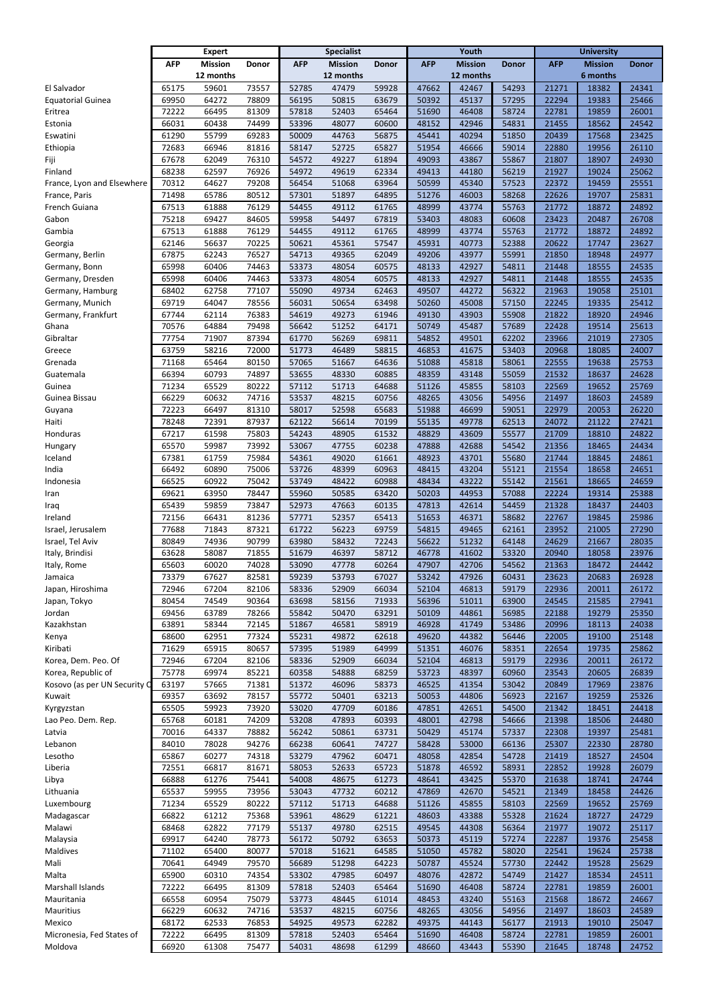|                              |            | <b>Expert</b>  | <b>Specialist</b> |            |                |              | Youth      |                | <b>University</b> |            |                |              |
|------------------------------|------------|----------------|-------------------|------------|----------------|--------------|------------|----------------|-------------------|------------|----------------|--------------|
|                              | <b>AFP</b> | <b>Mission</b> | <b>Donor</b>      | <b>AFP</b> | <b>Mission</b> | <b>Donor</b> | <b>AFP</b> | <b>Mission</b> | <b>Donor</b>      | <b>AFP</b> | <b>Mission</b> | <b>Donor</b> |
|                              |            | 12 months      |                   |            | 12 months      |              |            | 12 months      |                   |            | 6 months       |              |
| El Salvador                  | 65175      | 59601          | 73557             | 52785      | 47479          | 59928        | 47662      | 42467          | 54293             | 21271      | 18382          | 24341        |
| <b>Equatorial Guinea</b>     | 69950      | 64272          | 78809             | 56195      | 50815          | 63679        | 50392      | 45137          | 57295             | 22294      | 19383          | 25466        |
| Eritrea                      | 72222      | 66495          | 81309             | 57818      | 52403          | 65464        | 51690      | 46408          | 58724             | 22781      | 19859          | 26001        |
| Estonia                      | 66031      | 60438          | 74499             | 53396      | 48077          | 60600        | 48152      | 42946          | 54831             | 21455      | 18562          | 24542        |
| Eswatini                     | 61290      | 55799          | 69283             | 50009      | 44763          | 56875        | 45441      | 40294          | 51850             | 20439      | 17568          | 23425        |
| Ethiopia                     | 72683      | 66946          | 81816             | 58147      | 52725          | 65827        | 51954      | 46666          | 59014             | 22880      | 19956          | 26110        |
| Fiji                         | 67678      | 62049          | 76310             | 54572      | 49227          | 61894        | 49093      | 43867          | 55867             | 21807      | 18907          | 24930        |
| Finland                      | 68238      | 62597          | 76926             | 54972      | 49619          | 62334        | 49413      | 44180          | 56219             | 21927      | 19024          | 25062        |
| France, Lyon and Elsewhere   | 70312      | 64627          | 79208             | 56454      | 51068          | 63964        | 50599      | 45340          | 57523             | 22372      | 19459          | 25551        |
| France, Paris                | 71498      | 65786          | 80512             | 57301      | 51897          | 64895        | 51276      | 46003          | 58268             | 22626      | 19707          | 25831        |
| French Guiana                | 67513      | 61888          | 76129             | 54455      | 49112          | 61765        | 48999      | 43774          | 55763             | 21772      | 18872          | 24892        |
| Gabon                        | 75218      | 69427          | 84605             | 59958      | 54497          | 67819        | 53403      | 48083          | 60608             | 23423      | 20487          | 26708        |
| Gambia                       | 67513      | 61888          | 76129             | 54455      | 49112          | 61765        | 48999      | 43774          | 55763             | 21772      | 18872          | 24892        |
| Georgia                      | 62146      | 56637          | 70225             | 50621      | 45361          | 57547        | 45931      | 40773          | 52388             | 20622      | 17747          | 23627        |
| Germany, Berlin              | 67875      | 62243          | 76527             | 54713      | 49365          | 62049        | 49206      | 43977          | 55991             | 21850      | 18948          | 24977        |
| Germany, Bonn                | 65998      | 60406          | 74463             | 53373      | 48054          | 60575        | 48133      | 42927          | 54811             | 21448      | 18555          | 24535        |
| Germany, Dresden             | 65998      | 60406          | 74463             | 53373      | 48054          | 60575        | 48133      | 42927          | 54811             | 21448      | 18555          | 24535        |
| Germany, Hamburg             | 68402      | 62758          | 77107             | 55090      | 49734          | 62463        | 49507      | 44272          | 56322             | 21963      | 19058          | 25101        |
| Germany, Munich              | 69719      | 64047          | 78556             | 56031      | 50654          | 63498        | 50260      | 45008          | 57150             | 22245      | 19335          | 25412        |
| Germany, Frankfurt           | 67744      | 62114          | 76383             | 54619      | 49273          | 61946        | 49130      | 43903          | 55908             | 21822      | 18920          | 24946        |
| Ghana                        | 70576      | 64884          | 79498             | 56642      | 51252          | 64171        | 50749      | 45487          | 57689             | 22428      | 19514          | 25613        |
| Gibraltar                    | 77754      | 71907          | 87394             | 61770      | 56269          | 69811        | 54852      | 49501          | 62202             | 23966      | 21019          | 27305        |
| Greece                       | 63759      | 58216          | 72000             | 51773      | 46489          | 58815        | 46853      | 41675          | 53403             | 20968      | 18085          | 24007        |
| Grenada                      | 71168      | 65464          | 80150             | 57065      | 51667          | 64636        | 51088      | 45818          | 58061             | 22555      | 19638          | 25753        |
| Guatemala                    | 66394      | 60793          | 74897             | 53655      | 48330          | 60885        | 48359      | 43148          | 55059             | 21532      | 18637          | 24628        |
| Guinea                       | 71234      | 65529          | 80222             | 57112      | 51713          | 64688        | 51126      | 45855          | 58103             | 22569      | 19652          | 25769        |
| Guinea Bissau                | 66229      | 60632          | 74716             | 53537      | 48215          | 60756        | 48265      | 43056          | 54956             | 21497      | 18603          | 24589        |
| Guyana                       | 72223      | 66497          | 81310             | 58017      | 52598          | 65683        | 51988      | 46699          | 59051             | 22979      | 20053          | 26220        |
| Haiti                        | 78248      | 72391          | 87937             | 62122      | 56614          | 70199        | 55135      | 49778          | 62513             | 24072      | 21122          | 27421        |
| Honduras                     | 67217      | 61598          | 75803             | 54243      | 48905          | 61532        | 48829      | 43609          | 55577             | 21709      | 18810          | 24822        |
| Hungary                      | 65570      | 59987          | 73992             | 53067      | 47755          | 60238        | 47888      | 42688          | 54542             | 21356      | 18465          | 24434        |
| Iceland                      | 67381      | 61759          | 75984             | 54361      | 49020          | 61661        | 48923      | 43701          | 55680             | 21744      | 18845          | 24861        |
| India                        | 66492      | 60890          | 75006             | 53726      | 48399          | 60963        | 48415      | 43204          | 55121             | 21554      | 18658          | 24651        |
| Indonesia                    | 66525      | 60922          | 75042             | 53749      | 48422          | 60988        | 48434      | 43222          | 55142             | 21561      | 18665          | 24659        |
| Iran                         | 69621      | 63950          | 78447             | 55960      | 50585          | 63420        | 50203      | 44953          | 57088             | 22224      | 19314          | 25388        |
| Iraq                         | 65439      | 59859          | 73847             | 52973      | 47663          | 60135        | 47813      | 42614          | 54459             | 21328      | 18437          | 24403        |
| Ireland                      | 72156      | 66431          | 81236             | 57771      | 52357          | 65413        | 51653      | 46371          | 58682             | 22767      | 19845          | 25986        |
| Israel, Jerusalem            | 77688      | 71843          | 87321             | 61722      | 56223          | 69759        | 54815      | 49465          | 62161             | 23952      | 21005          | 27290        |
| Israel, Tel Aviv             | 80849      | 74936          | 90799             | 63980      | 58432          | 72243        | 56622      | 51232          | 64148             | 24629      | 21667          | 28035        |
| Italy, Brindisi              | 63628      | 58087          | 71855             | 51679      | 46397          | 58712        | 46778      | 41602          | 53320             | 20940      | 18058          | 23976        |
| Italy, Rome                  | 65603      | 60020          | 74028             | 53090      | 47778          | 60264        | 47907      | 42706          | 54562             | 21363      | 18472          | 24442        |
| Jamaica                      | 73379      | 67627          | 82581             | 59239      | 53793          | 67027        | 53242      | 47926          | 60431             | 23623      | 20683          | 26928        |
| Japan, Hiroshima             | 72946      | 67204          | 82106             | 58336      | 52909          | 66034        | 52104      | 46813          | 59179             | 22936      | 20011          | 26172        |
| Japan, Tokyo                 | 80454      | 74549          | 90364             | 63698      | 58156          | 71933        | 56396      | 51011          | 63900             | 24545      | 21585          | 27941        |
| Jordan                       | 69456      | 63789          | 78266             | 55842      | 50470          | 63291        | 50109      | 44861          | 56985             | 22188      | 19279          | 25350        |
| Kazakhstan                   | 63891      | 58344          | 72145             | 51867      | 46581          | 58919        | 46928      | 41749          | 53486             | 20996      | 18113          | 24038        |
| Kenya                        | 68600      | 62951          | 77324             | 55231      | 49872          | 62618        | 49620      | 44382          | 56446             | 22005      | 19100          | 25148        |
| Kiribati                     | 71629      | 65915          | 80657             | 57395      | 51989          | 64999        | 51351      | 46076          | 58351             | 22654      | 19735          | 25862        |
| Korea, Dem. Peo. Of          | 72946      | 67204          | 82106             | 58336      | 52909          | 66034        | 52104      | 46813          | 59179             | 22936      | 20011          | 26172        |
| Korea, Republic of           | 75778      | 69974          | 85221             | 60358      | 54888          | 68259        | 53723      | 48397          | 60960             | 23543      | 20605          | 26839        |
| Kosovo (as per UN Security C | 63197      | 57665          | 71381             | 51372      | 46096          | 58373        | 46525      | 41354          | 53042             | 20849      | 17969          | 23876        |
| Kuwait                       | 69357      | 63692          | 78157             | 55772      | 50401          | 63213        | 50053      | 44806          | 56923             | 22167      | 19259          | 25326        |
| Kyrgyzstan                   | 65505      | 59923          | 73920             | 53020      | 47709          | 60186        | 47851      | 42651          | 54500             | 21342      | 18451          | 24418        |
| Lao Peo. Dem. Rep.           | 65768      | 60181          | 74209             | 53208      | 47893          | 60393        | 48001      | 42798          | 54666             | 21398      | 18506          | 24480        |
| Latvia                       | 70016      | 64337          | 78882             | 56242      | 50861          | 63731        | 50429      | 45174          | 57337             | 22308      | 19397          | 25481        |
| Lebanon                      | 84010      | 78028          | 94276             | 66238      | 60641          | 74727        | 58428      | 53000          | 66136             | 25307      | 22330          | 28780        |
| Lesotho                      | 65867      | 60277          | 74318             | 53279      | 47962          | 60471        | 48058      | 42854          | 54728             | 21419      | 18527          | 24504        |
| Liberia                      | 72551      | 66817          | 81671             | 58053      | 52633          | 65723        | 51878      | 46592          | 58931             | 22852      | 19928          | 26079        |
| Libya                        | 66888      | 61276          | 75441             | 54008      | 48675          | 61273        | 48641      | 43425          | 55370             | 21638      | 18741          | 24744        |
| Lithuania                    | 65537      | 59955          | 73956             | 53043      | 47732          | 60212        | 47869      | 42670          | 54521             | 21349      | 18458          | 24426        |
| Luxembourg                   | 71234      | 65529          | 80222             | 57112      | 51713          | 64688        | 51126      | 45855          | 58103             | 22569      | 19652          | 25769        |
| Madagascar                   | 66822      | 61212          | 75368             | 53961      | 48629          | 61221        | 48603      | 43388          | 55328             | 21624      | 18727          | 24729        |
| Malawi                       | 68468      | 62822          | 77179             | 55137      | 49780          | 62515        | 49545      | 44308          | 56364             | 21977      | 19072          | 25117        |
| Malaysia                     | 69917      | 64240          | 78773             | 56172      | 50792          | 63653        | 50373      | 45119          | 57274             | 22287      | 19376          | 25458        |
| Maldives                     | 71102      | 65400          | 80077             | 57018      | 51621          | 64585        | 51050      | 45782          | 58020             | 22541      | 19624          | 25738        |
| Mali                         | 70641      | 64949          | 79570             | 56689      | 51298          | 64223        | 50787      | 45524          | 57730             | 22442      | 19528          | 25629        |
| Malta                        | 65900      | 60310          | 74354             | 53302      | 47985          | 60497        | 48076      | 42872          | 54749             | 21427      | 18534          | 24511        |
| Marshall Islands             | 72222      | 66495          | 81309             | 57818      | 52403          | 65464        | 51690      | 46408          | 58724             | 22781      | 19859          | 26001        |
| Mauritania                   | 66558      | 60954          | 75079             | 53773      | 48445          | 61014        | 48453      | 43240          | 55163             | 21568      | 18672          | 24667        |
| Mauritius                    | 66229      | 60632          | 74716             | 53537      | 48215          | 60756        | 48265      | 43056          | 54956             | 21497      | 18603          | 24589        |
| Mexico                       | 68172      | 62533          | 76853             | 54925      | 49573          | 62282        | 49375      | 44143          | 56177             | 21913      | 19010          | 25047        |
| Micronesia, Fed States of    | 72222      | 66495          | 81309             | 57818      | 52403          | 65464        | 51690      | 46408          | 58724             | 22781      | 19859          | 26001        |
| Moldova                      | 66920      | 61308          | 75477             | 54031      | 48698          | 61299        | 48660      | 43443          | 55390             | 21645      | 18748          | 24752        |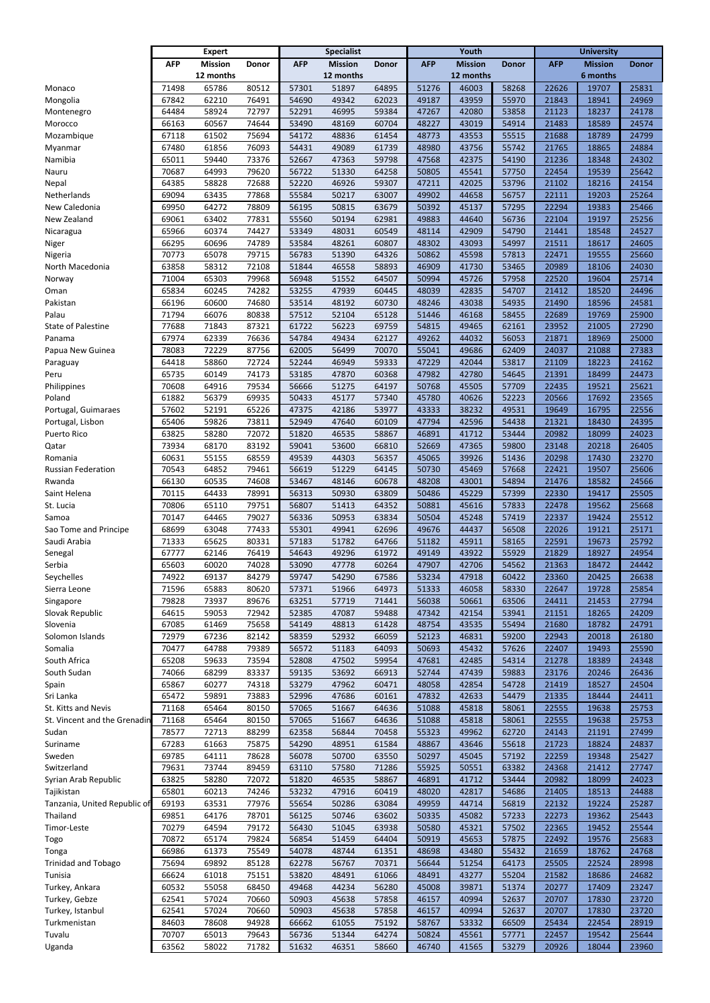|                                  |                | <b>Expert</b>  |                | <b>Specialist</b> |                |                | Youth          |                | <b>University</b> |                |                |                |
|----------------------------------|----------------|----------------|----------------|-------------------|----------------|----------------|----------------|----------------|-------------------|----------------|----------------|----------------|
|                                  | <b>AFP</b>     | <b>Mission</b> | <b>Donor</b>   | <b>AFP</b>        | <b>Mission</b> | <b>Donor</b>   | <b>AFP</b>     | <b>Mission</b> | <b>Donor</b>      | <b>AFP</b>     | <b>Mission</b> | <b>Donor</b>   |
|                                  |                | 12 months      |                |                   | 12 months      |                |                | 12 months      |                   |                | 6 months       |                |
| Monaco                           | 71498          | 65786          | 80512          | 57301             | 51897          | 64895          | 51276          | 46003          | 58268             | 22626          | 19707          | 25831          |
| Mongolia                         | 67842          | 62210          | 76491          | 54690             | 49342          | 62023          | 49187          | 43959          | 55970             | 21843          | 18941          | 24969          |
| Montenegro                       | 64484          | 58924          | 72797          | 52291             | 46995          | 59384          | 47267          | 42080          | 53858             | 21123          | 18237          | 24178          |
| Morocco                          | 66163          | 60567          | 74644          | 53490             | 48169          | 60704          | 48227          | 43019          | 54914             | 21483          | 18589          | 24574          |
| Mozambique                       | 67118          | 61502          | 75694          | 54172             | 48836          | 61454          | 48773          | 43553          | 55515             | 21688          | 18789          | 24799          |
| Myanmar                          | 67480          | 61856          | 76093          | 54431             | 49089          | 61739          | 48980          | 43756          | 55742             | 21765          | 18865          | 24884          |
| Namibia                          | 65011          | 59440          | 73376          | 52667             | 47363          | 59798          | 47568          | 42375          | 54190             | 21236          | 18348          | 24302          |
| Nauru                            | 70687          | 64993          | 79620          | 56722             | 51330          | 64258          | 50805          | 45541          | 57750             | 22454          | 19539          | 25642          |
| Nepal                            | 64385          | 58828          | 72688          | 52220             | 46926          | 59307          | 47211          | 42025          | 53796             | 21102          | 18216          | 24154          |
| Netherlands                      | 69094          | 63435          | 77868          | 55584             | 50217          | 63007          | 49902          | 44658          | 56757             | 22111          | 19203          | 25264          |
| New Caledonia                    | 69950          | 64272          | 78809          | 56195             | 50815          | 63679          | 50392          | 45137          | 57295             | 22294          | 19383          | 25466          |
| New Zealand                      | 69061          | 63402          | 77831          | 55560             | 50194          | 62981          | 49883          | 44640          | 56736             | 22104          | 19197          | 25256          |
| Nicaragua                        | 65966          | 60374          | 74427          | 53349             | 48031          | 60549          | 48114          | 42909          | 54790             | 21441          | 18548          | 24527          |
| Niger                            | 66295          | 60696          | 74789          | 53584             | 48261          | 60807          | 48302          | 43093          | 54997             | 21511          | 18617          | 24605          |
| Nigeria                          | 70773          | 65078          | 79715          | 56783             | 51390          | 64326          | 50862          | 45598          | 57813             | 22471          | 19555          | 25660          |
| North Macedonia                  | 63858          | 58312          | 72108          | 51844             | 46558          | 58893          | 46909          | 41730          | 53465             | 20989          | 18106          | 24030          |
| Norway                           | 71004          | 65303          | 79968          | 56948             | 51552          | 64507          | 50994          | 45726          | 57958             | 22520          | 19604          | 25714          |
| Oman                             | 65834          | 60245          | 74282          | 53255             | 47939          | 60445          | 48039          | 42835          | 54707             | 21412          | 18520          | 24496          |
| Pakistan                         | 66196          | 60600          | 74680          | 53514             | 48192          | 60730          | 48246          | 43038          | 54935             | 21490          | 18596          | 24581          |
| Palau                            | 71794          | 66076          | 80838          | 57512             | 52104          | 65128          | 51446          | 46168          | 58455             | 22689          | 19769          | 25900          |
| State of Palestine               | 77688          | 71843          | 87321          | 61722             | 56223          | 69759          | 54815          | 49465          | 62161             | 23952          | 21005          | 27290          |
| Panama                           | 67974          | 62339          | 76636          | 54784             | 49434          | 62127          | 49262          | 44032          | 56053             | 21871          | 18969          | 25000          |
| Papua New Guinea                 | 78083          | 72229          | 87756          | 62005             | 56499          | 70070          | 55041          | 49686          | 62409             | 24037          | 21088          | 27383          |
| Paraguay                         | 64418          | 58860          | 72724          | 52244             | 46949          | 59333          | 47229          | 42044          | 53817             | 21109          | 18223          | 24162          |
| Peru                             | 65735          | 60149          | 74173          | 53185             | 47870          | 60368          | 47982          | 42780          | 54645             | 21391          | 18499          | 24473          |
| Philippines                      | 70608          | 64916          | 79534          | 56666             | 51275          | 64197          | 50768          | 45505          | 57709             | 22435          | 19521          | 25621          |
| Poland                           | 61882          | 56379          | 69935          | 50433             | 45177          | 57340          | 45780          | 40626          | 52223             | 20566          | 17692          | 23565          |
| Portugal, Guimaraes              | 57602          | 52191          | 65226          | 47375             | 42186          | 53977          | 43333          | 38232          | 49531             | 19649          | 16795          | 22556          |
| Portugal, Lisbon                 | 65406          | 59826          | 73811          | 52949             | 47640          | 60109          | 47794          | 42596          | 54438             | 21321          | 18430          | 24395          |
| <b>Puerto Rico</b>               | 63825          | 58280          | 72072          | 51820             | 46535          | 58867          | 46891          | 41712          | 53444             | 20982          | 18099          | 24023          |
| Qatar                            | 73934          | 68170          | 83192          | 59041             | 53600          | 66810          | 52669          | 47365          | 59800             | 23148          | 20218          | 26405          |
| Romania                          | 60631          | 55155          | 68559          | 49539             | 44303          | 56357          | 45065          | 39926          | 51436             | 20298          | 17430          | 23270          |
| <b>Russian Federation</b>        | 70543          | 64852          | 79461          | 56619             | 51229          | 64145          | 50730          | 45469          | 57668             | 22421          | 19507          | 25606          |
| Rwanda                           | 66130          | 60535          | 74608          | 53467             | 48146          | 60678          | 48208          | 43001          | 54894             | 21476          | 18582          | 24566          |
| Saint Helena                     | 70115          | 64433          | 78991          | 56313             | 50930          | 63809          | 50486          | 45229          | 57399             | 22330          | 19417          | 25505          |
| St. Lucia                        | 70806          | 65110          | 79751          | 56807             | 51413          | 64352          | 50881          | 45616          | 57833             | 22478          | 19562          | 25668          |
| Samoa                            | 70147          | 64465          | 79027          | 56336             | 50953          | 63834          | 50504          | 45248          | 57419             | 22337          | 19424          | 25512          |
| Sao Tome and Principe            | 68699          | 63048          | 77433          | 55301             | 49941          | 62696          | 49676          | 44437          | 56508             | 22026          | 19121          | 25171          |
| Saudi Arabia                     | 71333          | 65625          | 80331          | 57183             | 51782          | 64766          | 51182          | 45911          | 58165             | 22591          | 19673          | 25792          |
| Senegal                          | 67777          | 62146          | 76419          | 54643             | 49296          | 61972          | 49149          | 43922          | 55929             | 21829          | 18927          | 24954          |
| Serbia                           | 65603          | 60020          | 74028          | 53090             | 47778          | 60264          | 47907          | 42706          | 54562             | 21363          | 18472          | 24442          |
| Seychelles                       | 74922          | 69137          | 84279          | 59747             | 54290          | 67586          | 53234          | 47918          | 60422             | 23360          | 20425          | 26638          |
| Sierra Leone                     | 71596          | 65883          | 80620          | 57371             | 51966          | 64973          | 51333          | 46058          | 58330             | 22647          | 19728          | 25854          |
| Singapore                        | 79828          | 73937          | 89676          | 63251             | 57719          | 71441          | 56038          | 50661          | 63506             | 24411          | 21453          | 27794          |
| Slovak Republic                  | 64615          | 59053          | 72942          | 52385             | 47087          | 59488          | 47342          | 42154          | 53941             | 21151          | 18265          | 24209          |
| Slovenia                         | 67085          | 61469          | 75658          | 54149             | 48813          | 61428          | 48754          | 43535          | 55494             | 21680          | 18782          | 24791          |
| Solomon Islands                  | 72979          | 67236          | 82142          | 58359             | 52932          | 66059          | 52123          | 46831          | 59200             | 22943          | 20018          | 26180          |
| Somalia                          | 70477          | 64788          | 79389          | 56572             | 51183          | 64093          | 50693          | 45432          | 57626             | 22407          | 19493          | 25590          |
| South Africa                     | 65208          | 59633          | 73594          | 52808             | 47502          | 59954          | 47681          | 42485          | 54314             | 21278          | 18389          | 24348          |
| South Sudan                      | 74066          | 68299          | 83337          | 59135             | 53692          | 66913          | 52744          | 47439          | 59883             | 23176          | 20246          | 26436          |
| Spain                            | 65867          | 60277          | 74318          | 53279             | 47962          | 60471          | 48058          | 42854          | 54728             | 21419          | 18527          | 24504          |
| Sri Lanka                        | 65472          | 59891          | 73883          | 52996             | 47686          | 60161          | 47832          | 42633          | 54479             | 21335          | 18444          | 24411          |
| St. Kitts and Nevis              | 71168          | 65464          | 80150          | 57065             | 51667          | 64636          | 51088          | 45818          | 58061             | 22555          | 19638          | 25753          |
| St. Vincent and the Grenadin     | 71168          | 65464          | 80150          | 57065             | 51667          | 64636          | 51088          | 45818          | 58061             | 22555          | 19638          | 25753          |
| Sudan                            | 78577          | 72713          | 88299          | 62358             | 56844          | 70458          | 55323          | 49962          | 62720             | 24143          | 21191          | 27499          |
| Suriname                         | 67283          | 61663          | 75875          | 54290             | 48951          | 61584          | 48867          | 43646          | 55618             | 21723          | 18824          | 24837          |
| Sweden                           | 69785          | 64111          | 78628          | 56078             | 50700          | 63550          | 50297          | 45045          | 57192             | 22259          | 19348          | 25427          |
| Switzerland                      | 79631          | 73744          | 89459          | 63110             | 57580          | 71286          | 55925          | 50551          | 63382             | 24368          | 21412          | 27747          |
| Syrian Arab Republic             | 63825          | 58280          | 72072          | 51820             | 46535          | 58867          | 46891          | 41712          | 53444             | 20982          | 18099          | 24023          |
| Tajikistan                       | 65801          | 60213          | 74246          | 53232             | 47916          | 60419          | 48020          | 42817          | 54686             | 21405          | 18513          | 24488          |
| Tanzania, United Republic of     | 69193          | 63531          | 77976          | 55654             | 50286          | 63084          | 49959          | 44714          | 56819             | 22132          | 19224          | 25287          |
| Thailand                         | 69851          | 64176          | 78701          | 56125             | 50746          | 63602          | 50335          | 45082          | 57233             | 22273          | 19362          | 25443          |
| Timor-Leste                      | 70279          | 64594          | 79172          | 56430             | 51045          | 63938          | 50580          | 45321          | 57502             | 22365          | 19452          | 25544          |
| Togo                             | 70872          | 65174          | 79824          | 56854             | 51459          | 64404          | 50919          | 45653          | 57875             | 22492          | 19576          | 25683          |
| Tonga                            | 66986          | 61373          | 75549          | 54078             | 48744          | 61351          | 48698          | 43480          | 55432             | 21659          | 18762          | 24768          |
| <b>Trinidad and Tobago</b>       | 75694          | 69892          | 85128          | 62278             | 56767          | 70371          | 56644          | 51254          | 64173             | 25505          | 22524          | 28998          |
| Tunisia                          | 66624          | 61018          | 75151          | 53820             | 48491          | 61066          | 48491          | 43277          | 55204             | 21582          | 18686          | 24682          |
| Turkey, Ankara                   | 60532<br>62541 | 55058<br>57024 | 68450<br>70660 | 49468<br>50903    | 44234<br>45638 | 56280<br>57858 | 45008<br>46157 | 39871<br>40994 | 51374<br>52637    | 20277          | 17409<br>17830 | 23247<br>23720 |
| Turkey, Gebze                    | 62541          | 57024          | 70660          | 50903             | 45638          | 57858          | 46157          | 40994          | 52637             | 20707          | 17830          | 23720          |
| Turkey, Istanbul<br>Turkmenistan | 84603          | 78608          | 94928          | 66662             | 61055          | 75192          | 58767          | 53332          | 66509             | 20707<br>25434 | 22454          | 28919          |
| Tuvalu                           | 70707          | 65013          | 79643          | 56736             | 51344          | 64274          | 50824          | 45561          | 57771             | 22457          | 19542          | 25644          |
| Uganda                           | 63562          | 58022          | 71782          | 51632             | 46351          | 58660          | 46740          | 41565          | 53279             | 20926          | 18044          | 23960          |
|                                  |                |                |                |                   |                |                |                |                |                   |                |                |                |